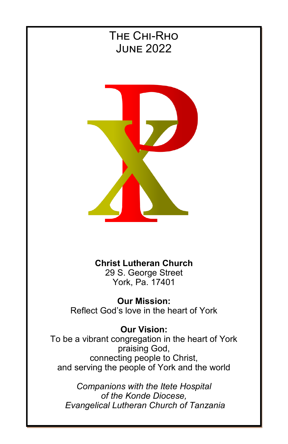

# **Christ Lutheran Church**

29 S. George Street York, Pa. 17401

**Our Mission:** Reflect God's love in the heart of York

### **Our Vision:**

To be a vibrant congregation in the heart of York praising God, connecting people to Christ, and serving the people of York and the world

*Companions with the Itete Hospital of the Konde Diocese, Evangelical Lutheran Church of Tanzania*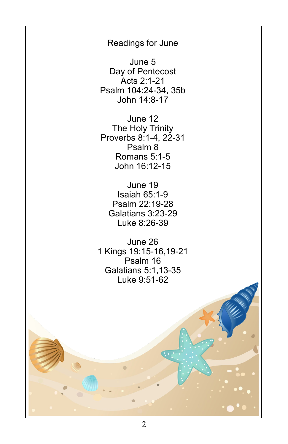Readings for June

June 5 Day of Pentecost Acts 2:1-21 Psalm 104:24-34, 35b John 14:8-17

June 12 The Holy Trinity Proverbs 8:1-4, 22-31 Psalm 8 Romans 5:1-5 John 16:12-15

June 19 Isaiah 65:1-9 Psalm 22:19-28 Galatians 3:23-29 Luke 8:26-39

June 26 1 Kings 19:15-16,19-21 Psalm 16 Galatians 5:1,13-35 Luke 9:51-62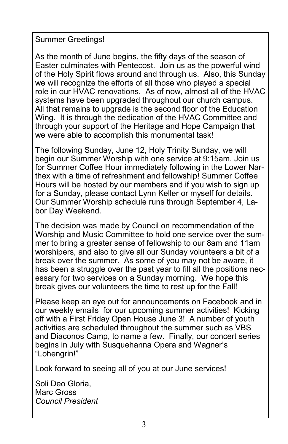Summer Greetings!

As the month of June begins, the fifty days of the season of Easter culminates with Pentecost. Join us as the powerful wind of the Holy Spirit flows around and through us. Also, this Sunday we will recognize the efforts of all those who played a special role in our HVAC renovations. As of now, almost all of the HVAC systems have been upgraded throughout our church campus. All that remains to upgrade is the second floor of the Education Wing. It is through the dedication of the HVAC Committee and through your support of the Heritage and Hope Campaign that we were able to accomplish this monumental task!

The following Sunday, June 12, Holy Trinity Sunday, we will begin our Summer Worship with one service at 9:15am. Join us for Summer Coffee Hour immediately following in the Lower Narthex with a time of refreshment and fellowship! Summer Coffee Hours will be hosted by our members and if you wish to sign up for a Sunday, please contact Lynn Keller or myself for details. Our Summer Worship schedule runs through September 4, Labor Day Weekend.

The decision was made by Council on recommendation of the Worship and Music Committee to hold one service over the summer to bring a greater sense of fellowship to our 8am and 11am worshipers, and also to give all our Sunday volunteers a bit of a break over the summer. As some of you may not be aware, it has been a struggle over the past year to fill all the positions necessary for two services on a Sunday morning. We hope this break gives our volunteers the time to rest up for the Fall!

Please keep an eye out for announcements on Facebook and in our weekly emails for our upcoming summer activities! Kicking off with a First Friday Open House June 3! A number of youth activities are scheduled throughout the summer such as VBS and Diaconos Camp, to name a few. Finally, our concert series begins in July with Susquehanna Opera and Wagner's "Lohengrin!"

Look forward to seeing all of you at our June services!

Soli Deo Gloria, Marc Gross *Council President*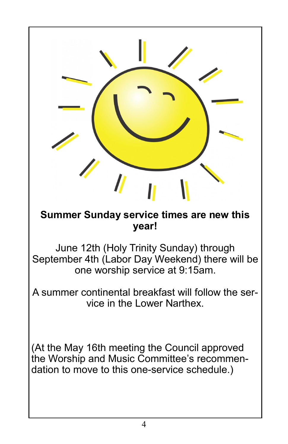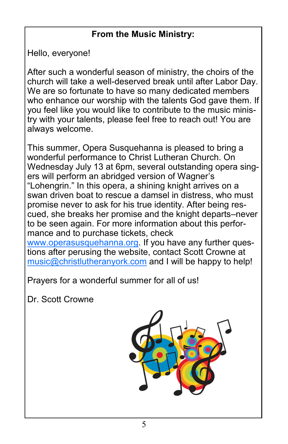# **From the Music Ministry:**

Hello, everyone!

After such a wonderful season of ministry, the choirs of the church will take a well-deserved break until after Labor Day. We are so fortunate to have so many dedicated members who enhance our worship with the talents God gave them. If you feel like you would like to contribute to the music ministry with your talents, please feel free to reach out! You are always welcome.

This summer, Opera Susquehanna is pleased to bring a wonderful performance to Christ Lutheran Church. On Wednesday July 13 at 6pm, several outstanding opera singers will perform an abridged version of Wagner's "Lohengrin." In this opera, a shining knight arrives on a swan driven boat to rescue a damsel in distress, who must promise never to ask for his true identity. After being rescued, she breaks her promise and the knight departs–never to be seen again. For more information about this performance and to purchase tickets, check [www.operasusquehanna.org.](http://www.operasusquehanna.org) If you have any further questions after perusing the website, contact Scott Crowne at [music@christlutheranyork.com](mailto:music@christlutheranyork.com) and I will be happy to help!

Prayers for a wonderful summer for all of us!

Dr. Scott Crowne

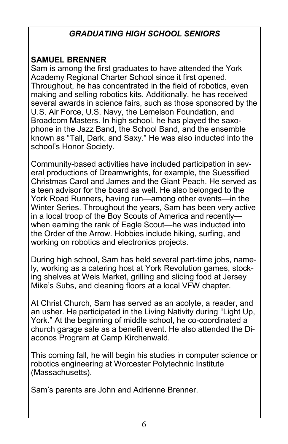# *GRADUATING HIGH SCHOOL SENIORS*

# **SAMUEL BRENNER**

Sam is among the first graduates to have attended the York Academy Regional Charter School since it first opened. Throughout, he has concentrated in the field of robotics, even making and selling robotics kits. Additionally, he has received several awards in science fairs, such as those sponsored by the U.S. Air Force, U.S. Navy, the Lemelson Foundation, and Broadcom Masters. In high school, he has played the saxophone in the Jazz Band, the School Band, and the ensemble known as "Tall, Dark, and Saxy." He was also inducted into the school's Honor Society.

Community-based activities have included participation in several productions of Dreamwrights, for example, the Suessified Christmas Carol and James and the Giant Peach. He served as a teen advisor for the board as well. He also belonged to the York Road Runners, having run—among other events—in the Winter Series. Throughout the years, Sam has been very active in a local troop of the Boy Scouts of America and recently when earning the rank of Eagle Scout—he was inducted into the Order of the Arrow. Hobbies include hiking, surfing, and working on robotics and electronics projects.

During high school, Sam has held several part-time jobs, namely, working as a catering host at York Revolution games, stocking shelves at Weis Market, grilling and slicing food at Jersey Mike's Subs, and cleaning floors at a local VFW chapter.

At Christ Church, Sam has served as an acolyte, a reader, and an usher. He participated in the Living Nativity during "Light Up, York." At the beginning of middle school, he co-coordinated a church garage sale as a benefit event. He also attended the Diaconos Program at Camp Kirchenwald.

This coming fall, he will begin his studies in computer science or robotics engineering at Worcester Polytechnic Institute (Massachusetts).

Sam's parents are John and Adrienne Brenner.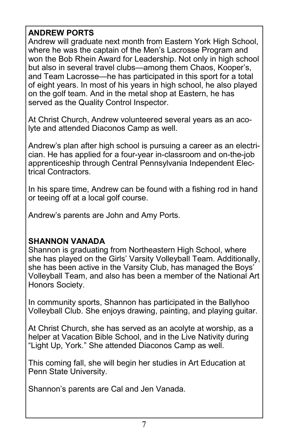## **ANDREW PORTS**

Andrew will graduate next month from Eastern York High School, where he was the captain of the Men's Lacrosse Program and won the Bob Rhein Award for Leadership. Not only in high school but also in several travel clubs—among them Chaos, Kooper's, and Team Lacrosse—he has participated in this sport for a total of eight years. In most of his years in high school, he also played on the golf team. And in the metal shop at Eastern, he has served as the Quality Control Inspector.

At Christ Church, Andrew volunteered several years as an acolyte and attended Diaconos Camp as well.

Andrew's plan after high school is pursuing a career as an electrician. He has applied for a four-year in-classroom and on-the-job apprenticeship through Central Pennsylvania Independent Electrical Contractors.

In his spare time, Andrew can be found with a fishing rod in hand or teeing off at a local golf course.

Andrew's parents are John and Amy Ports.

### **SHANNON VANADA**

Shannon is graduating from Northeastern High School, where she has played on the Girls' Varsity Volleyball Team. Additionally, she has been active in the Varsity Club, has managed the Boys' Volleyball Team, and also has been a member of the National Art Honors Society.

In community sports, Shannon has participated in the Ballyhoo Volleyball Club. She enjoys drawing, painting, and playing guitar.

At Christ Church, she has served as an acolyte at worship, as a helper at Vacation Bible School, and in the Live Nativity during "Light Up, York." She attended Diaconos Camp as well.

This coming fall, she will begin her studies in Art Education at Penn State University.

Shannon's parents are Cal and Jen Vanada.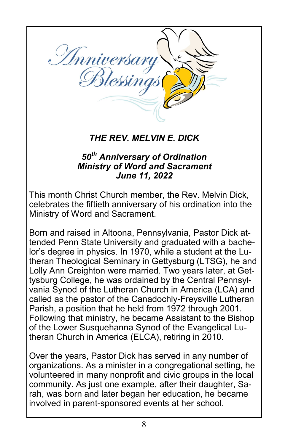

# *THE REV. MELVIN E. DICK*

### *50th Anniversary of Ordination Ministry of Word and Sacrament June 11, 2022*

This month Christ Church member, the Rev. Melvin Dick, celebrates the fiftieth anniversary of his ordination into the Ministry of Word and Sacrament.

Born and raised in Altoona, Pennsylvania, Pastor Dick attended Penn State University and graduated with a bachelor's degree in physics. In 1970, while a student at the Lutheran Theological Seminary in Gettysburg (LTSG), he and Lolly Ann Creighton were married. Two years later, at Gettysburg College, he was ordained by the Central Pennsylvania Synod of the Lutheran Church in America (LCA) and called as the pastor of the Canadochly-Freysville Lutheran Parish, a position that he held from 1972 through 2001. Following that ministry, he became Assistant to the Bishop of the Lower Susquehanna Synod of the Evangelical Lutheran Church in America (ELCA), retiring in 2010.

Over the years, Pastor Dick has served in any number of organizations. As a minister in a congregational setting, he volunteered in many nonprofit and civic groups in the local community. As just one example, after their daughter, Sarah, was born and later began her education, he became involved in parent-sponsored events at her school.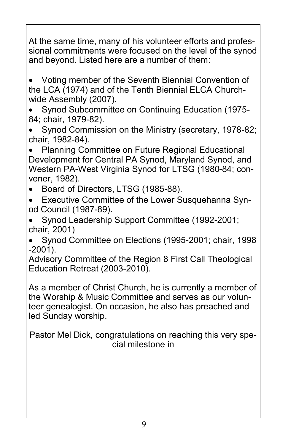At the same time, many of his volunteer efforts and professional commitments were focused on the level of the synod and beyond. Listed here are a number of them:

• Voting member of the Seventh Biennial Convention of the LCA (1974) and of the Tenth Biennial ELCA Churchwide Assembly (2007).

• Synod Subcommittee on Continuing Education (1975- 84; chair, 1979-82).

• Synod Commission on the Ministry (secretary, 1978-82; chair, 1982-84).

• Planning Committee on Future Regional Educational Development for Central PA Synod, Maryland Synod, and Western PA-West Virginia Synod for LTSG (1980-84; convener, 1982).

- Board of Directors, LTSG (1985-88).
- Executive Committee of the Lower Susquehanna Synod Council (1987-89).
- Synod Leadership Support Committee (1992-2001; chair, 2001)

• Synod Committee on Elections (1995-2001; chair, 1998 -2001).

Advisory Committee of the Region 8 First Call Theological Education Retreat (2003-2010).

As a member of Christ Church, he is currently a member of the Worship & Music Committee and serves as our volunteer genealogist. On occasion, he also has preached and led Sunday worship.

Pastor Mel Dick, congratulations on reaching this very special milestone in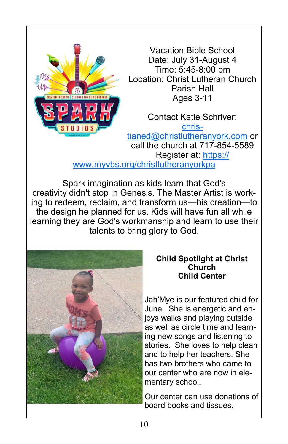

Vacation Bible School Date: July 31-August 4 Time: 5:45-8:00 pm Location: Christ Lutheran Church Parish Hall Ages 3-11

Contact Katie Schriver: [chris](mailto:christianed@christlutheranyork.com)[tianed@christlutheranyork.com](mailto:christianed@christlutheranyork.com) or call the church at 717-854-5589 Register at: [https://](https://www.myvbs.org/christlutheranyorkpa) [www.myvbs.org/christlutheranyorkpa](https://www.myvbs.org/christlutheranyorkpa)

Spark imagination as kids learn that God's creativity didn't stop in Genesis. The Master Artist is working to redeem, reclaim, and transform us—his creation—to the design he planned for us. Kids will have fun all while learning they are God's workmanship and learn to use their talents to bring glory to God.



#### **Child Spotlight at Christ Church Child Center**

Jah'Mye is our featured child for June. She is energetic and enjoys walks and playing outside as well as circle time and learning new songs and listening to stories. She loves to help clean and to help her teachers. She has two brothers who came to our center who are now in elementary school.

Our center can use donations of board books and tissues.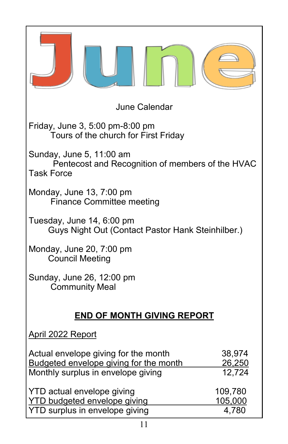| <b>June Calendar</b>                                                                                                 |                                    |
|----------------------------------------------------------------------------------------------------------------------|------------------------------------|
| Friday, June 3, 5:00 pm-8:00 pm<br>Tours of the church for First Friday                                              |                                    |
| Sunday, June 5, 11:00 am<br>Pentecost and Recognition of members of the HVAC<br><b>Task Force</b>                    |                                    |
| Monday, June 13, 7:00 pm<br><b>Finance Committee meeting</b>                                                         |                                    |
| Tuesday, June 14, 6:00 pm<br>Guys Night Out (Contact Pastor Hank Steinhilber.)                                       |                                    |
| Monday, June 20, 7:00 pm<br><b>Council Meeting</b>                                                                   |                                    |
| Sunday, June 26, 12:00 pm<br><b>Community Meal</b>                                                                   |                                    |
| <b>END OF MONTH GIVING REPORT</b>                                                                                    |                                    |
| <u> April 2022 Report</u>                                                                                            |                                    |
| Actual envelope giving for the month<br>Budgeted envelope giving for the month<br>Monthly surplus in envelope giving | 38,974<br>26,250<br>12,724         |
| <b>YTD</b> actual envelope giving<br><b>YTD budgeted envelope giving</b><br>YTD surplus in envelope giving           | 109,780<br><u>105,000</u><br>4,780 |
| 11                                                                                                                   |                                    |